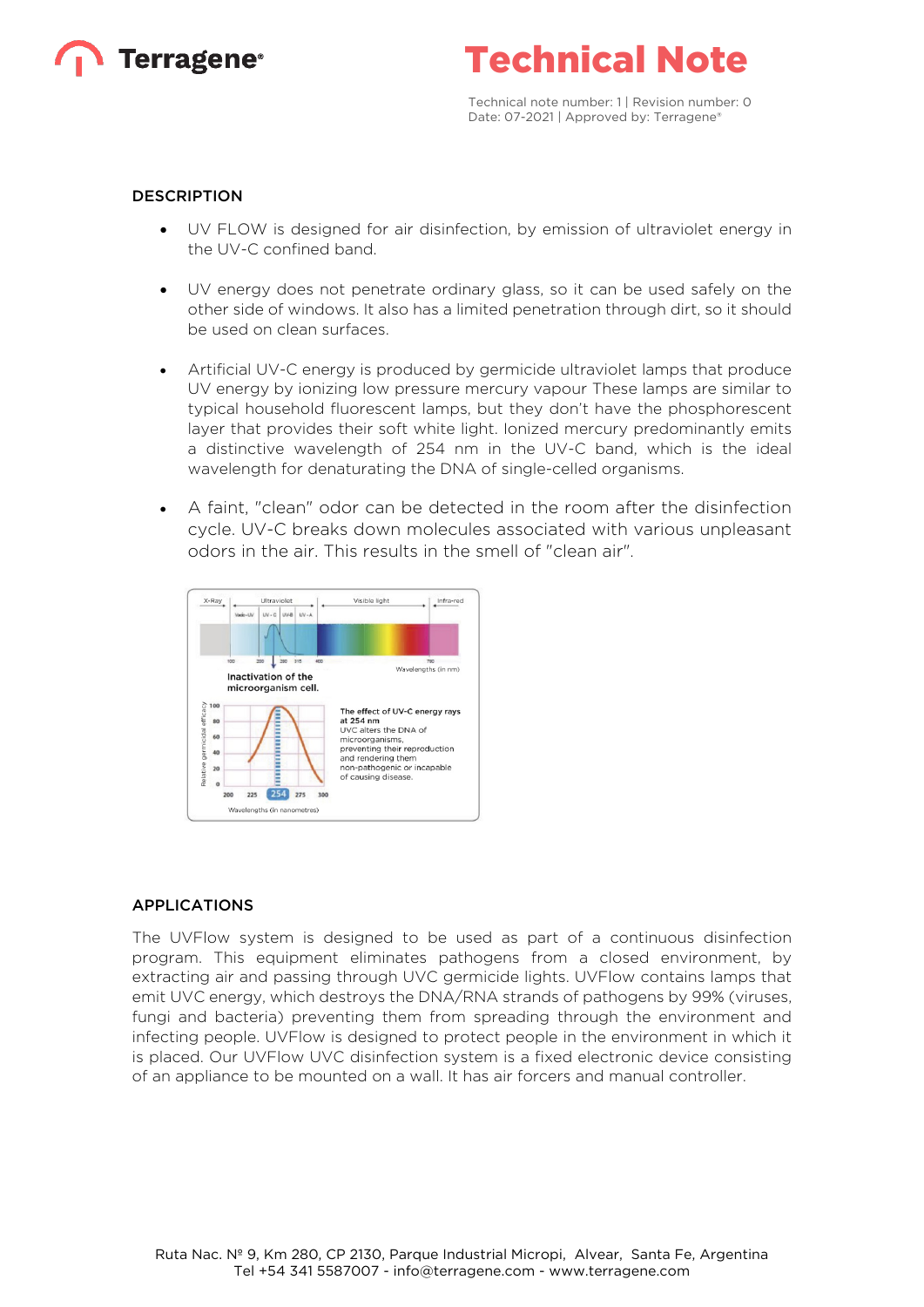



Technical note number: 1 | Revision number: 0 Date: 07-2021 | Approved by: Terragene®

#### **DESCRIPTION**

- UV FLOW is designed for air disinfection, by emission of ultraviolet energy in the UV-C confined band.
- UV energy does not penetrate ordinary glass, so it can be used safely on the other side of windows. It also has a limited penetration through dirt, so it should be used on clean surfaces.
- Artificial UV-C energy is produced by germicide ultraviolet lamps that produce UV energy by ionizing low pressure mercury vapour These lamps are similar to typical household fluorescent lamps, but they don't have the phosphorescent layer that provides their soft white light. Ionized mercury predominantly emits a distinctive wavelength of 254 nm in the UV-C band, which is the ideal wavelength for denaturating the DNA of single-celled organisms.
- A faint, "clean" odor can be detected in the room after the disinfection cycle. UV-C breaks down molecules associated with various unpleasant odors in the air. This results in the smell of "clean air".



#### APPLICATIONS

The UVFlow system is designed to be used as part of a continuous disinfection program. This equipment eliminates pathogens from a closed environment, by extracting air and passing through UVC germicide lights. UVFlow contains lamps that emit UVC energy, which destroys the DNA/RNA strands of pathogens by 99% (viruses, fungi and bacteria) preventing them from spreading through the environment and infecting people. UVFlow is designed to protect people in the environment in which it is placed. Our UVFlow UVC disinfection system is a fixed electronic device consisting of an appliance to be mounted on a wall. It has air forcers and manual controller.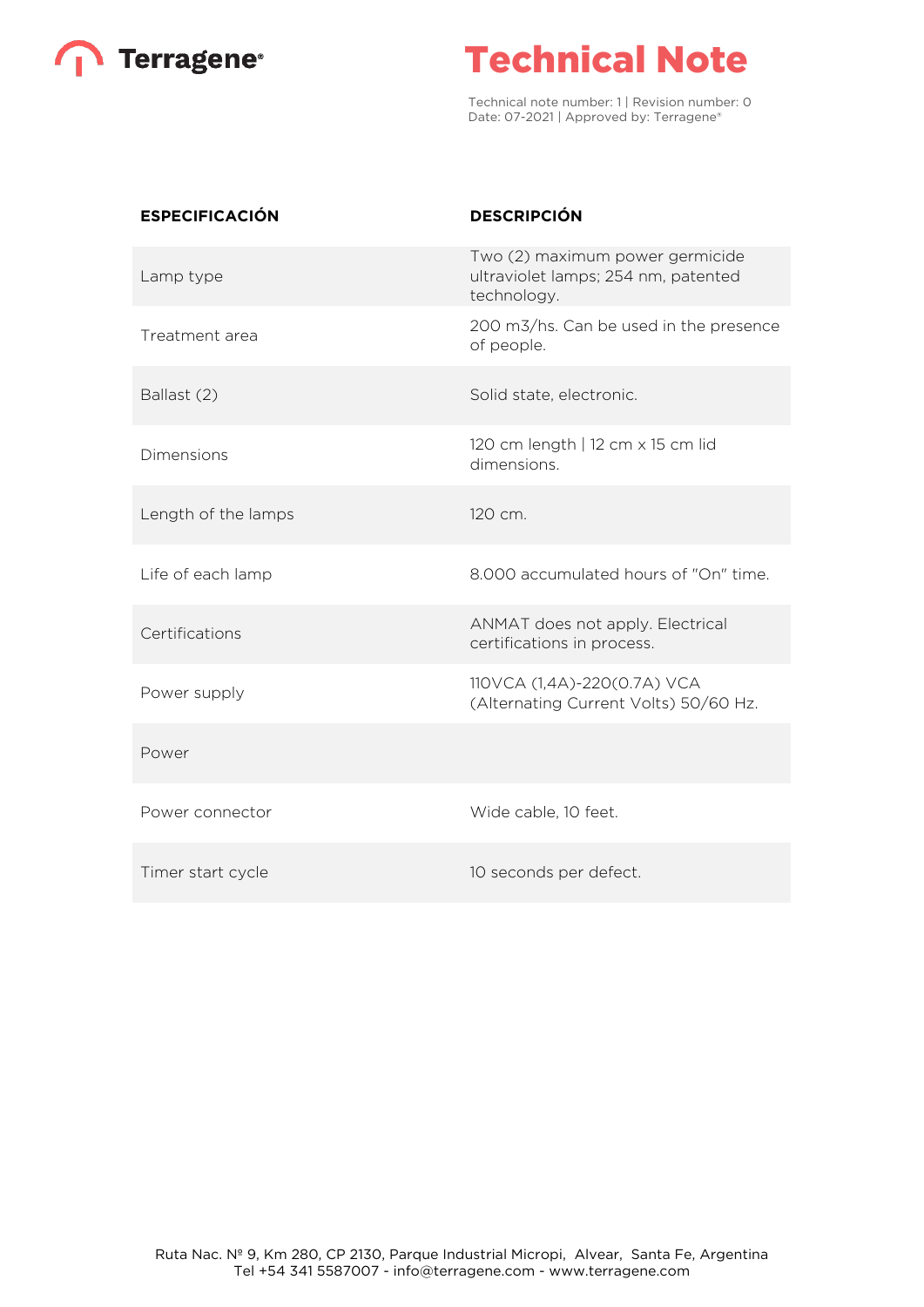

# Technical Note

Technical note number: 1 | Revision number: 0 Date: 07-2021 | Approved by: Terragene®

| <b>ESPECIFICACIÓN</b> | <b>DESCRIPCIÓN</b>                                                                    |
|-----------------------|---------------------------------------------------------------------------------------|
| Lamp type             | Two (2) maximum power germicide<br>ultraviolet lamps; 254 nm, patented<br>technology. |
| Treatment area        | 200 m3/hs. Can be used in the presence<br>of people.                                  |
| Ballast (2)           | Solid state, electronic.                                                              |
| Dimensions            | 120 cm length   12 cm x 15 cm lid<br>dimensions.                                      |
| Length of the lamps   | 120 cm.                                                                               |
| Life of each lamp     | 8.000 accumulated hours of "On" time.                                                 |
| Certifications        | ANMAT does not apply. Electrical<br>certifications in process.                        |
| Power supply          | 110VCA (1,4A)-220(0.7A) VCA<br>(Alternating Current Volts) 50/60 Hz.                  |
| Power                 |                                                                                       |
| Power connector       | Wide cable, 10 feet.                                                                  |
| Timer start cycle     | 10 seconds per defect.                                                                |